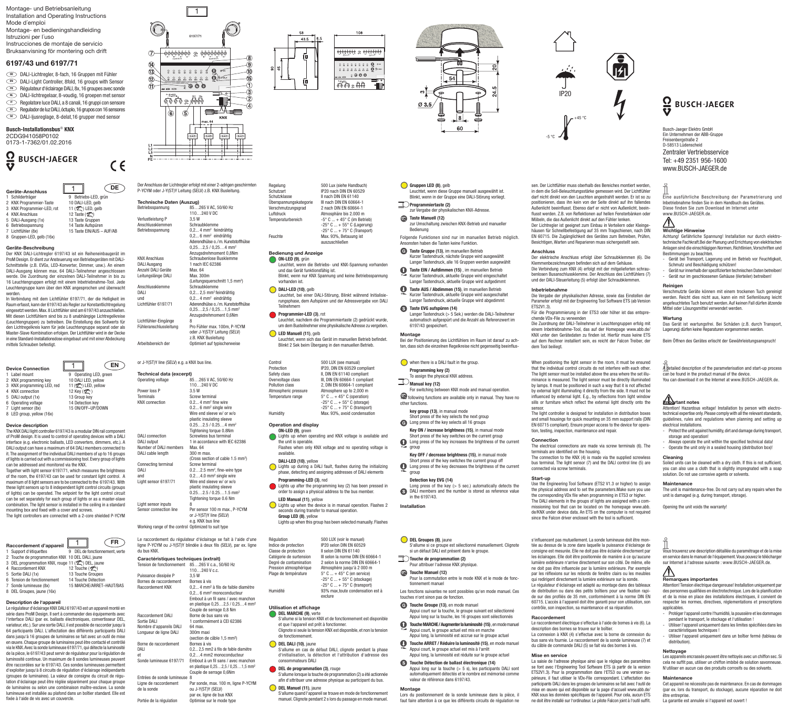Montage- und Betriebsanleitung Installation and Operating Instructions Mode d´emploi Montage- en bedieningshandleiding

- Istruzioni per l´uso
- Instrucciones de montaje de servicio Bruksanvisning för montering och drift

# **6197/43 und 6197/71**

- DALI-Lichtregler, 8-fach, 16 Gruppen mit Fühler **DE**
- DALI-Light Controller, 8fold, 16 groups with Sensor **EN**
- Régulateur d'éclairage DALI, 8x, 16 groupes avec sonde **FR**
- DALI-lichtregelaar, 8-voudig, 16 groepen met sensor **NL Regolatore luce DALI, a 8 canali, 16 gruppi con sensore**
- Regulador de luz DALI, óctuplo, 16 grupos con 16 sensores **ES**
- DALI-ljusreglage, 8-delat,16 grupper med sensor **SE**

# **Busch-Installationsbus**® **KNX**

2CDG941058P0102 0173-1-7362/01.02.2016

# **Q** BUSCH-JAEGER

|   | Geräte-Anschluss           |                           |
|---|----------------------------|---------------------------|
|   | 1 Schilderträger           | Betriebs-LED, grün<br>9   |
|   | 2 KNX Programmier-Taste    | 10 DALI-LED, gelb         |
|   | 3 KNX Programmier-LED, rot | 11 (2) LED, gelb          |
|   | <b>KNX Anschluss</b>       | 12 Taste (2)              |
|   | 5 DALI-Ausgang (1x)        | 13 Taste Gruppen          |
| 6 | Betriebsspannung           | 14 Taste Aufspüren        |
|   | 7 Lichtfühler (8x)         | 15 Taste EIN/AUS - AUF/AB |
| 8 | Gruppen-LED, gelb (16x)    |                           |

**Geräte-Beschreibung** Der KNX DALI-Lichtregler 6197/43 ist ein Reiheneinbaugerät im ProM Design. Er dient zur Ansteuerung von Betriebsgeräten mit DALI-Schnittstelle (z.B. EVGs, LED-Konverter, Dimmer, usw.). An einem DALI-Ausgang können max. 64 DALI-Teilnehmer angeschlossen werde. Die Zuordnung der einzelnen DALI-Teilnehmer in bis zu 16 Leuchtengruppen erfolgt mit einem Inbetriebnahme-Tool. Jede Leuchtengruppe kann über den KNX angesprochen und überwacht werden.

In Verbindung mit dem Lichtfühler 6197/71, der die Helligkeit im Raum erfasst, kann der 6197/43 als Regler zur Konstantlichtregelung eingesetzt werden. Max. 8 Lichtfühler sind am 6197/43 anzuschließen. Mit diesen Lichtfühlern sind bis zu 8 unabhängige Lichtregelkreise (Leuchtengruppen) zu betreiben. Die Einstellung des Sollwerts für den Lichtregelkreis kann für jede Leuchtengruppe separat oder als Master-Slave Kombination erfolgen. Der Lichtfühler wird in der Decke in eine Standard-Installationsdose eingebaut und mit einer Abdeckung mittels Schrauben befestigt.

**Device Connection**<br>1 Label mount 9 Operating LED, green<br>10 DALI LED, yellow<br>11 ( $\binom{2^{\infty}}{2}$  LED, yellow KNX programming key 3 KNX programming LED, red<br>4 KNX connection  $12$  Key  $(2^{\infty})$ <br>13 Group key 5 DALI output (1x) 13 Group key<br>6 Operating voltage 14 Detection key 6 Operating voltage 14 Detection key<br>
7 Light sensor (8x) 15 ON/OFF-LIP/DOWN Light sensor (8x) 8 LED group, yellow (16x)

# **Device description**

The KNX DALI light controller 6197/43 is a modular DIN rail component of ProM design. It is used to control of operating devices with a DALI interface (e.g. electronic ballasts, LED converters, dimmers, etc.). A DALI output can have a maximum of 64 DALI members connected to it. The assignment of the individual DALI members of up to 16 groups of lights is carried out with a commissioning tool. Every group of lights can be addressed and monitored via the KNX. Together with light sensor 6197/71, which measures the brightness

of the room, the 6197/43 can be used for constant light control. A maximum of 8 light sensors are to be connected to the 6197/43. With these light sensors up to 8 independent light control circuits (groups of lights) can be operated. The setpoint for the light control circuit can be set separately for each group of lights or as a master-slave combination. The light sensor is installed in the ceiling in a standard mounting box and fixed with a cover and screws.

The light controllers are connected with a 2-core shielded P-YCYM

|   | Raccordement d'appareil                             |   |                              |
|---|-----------------------------------------------------|---|------------------------------|
|   | 1 Support d'étiquettes                              | 9 | DEL de fonctionnement, verte |
|   | 2 Touche de programmation KNX 10 DEL DALI, jaune    |   |                              |
|   | 3 DEL programmation KNX, rouge 11 (Sec.) DEL, jaune |   |                              |
|   | Raccordement KNX                                    |   | 12 Touche (2)                |
|   | 5 Sortie DALI (1x)                                  |   | 13 Touche Groupes            |
| 6 | Tension de fonctionnement                           |   | 14 Touche Détection          |
|   | 7 Sonde lumineuse (8x)                              |   | 15 MARCHE/ARRET-HAUT/BAS     |
|   | 8 DEL Groupes, jaune (16x)                          |   |                              |

# Description de l'apparei

Le régulateur d'éclairage KNX DALI 6197/43 est un appareil monté en série dans ProM Design. Il sert à commander des équipements avec l'interface DALI (par ex. ballasts électroniques, convertisseur DEL, variateur, etc.). Sur une sortie DALI, il est possible de raccorder jusqu'à 64 participants DALI. L'affectation des différents participants DALI dans jusqu'à 16 groupes de luminaires se fait avec un outil de mise en œuvre. Chaque groupe de luminaires peut être contacté et contrôlé via le KNX. Avec la sonde lumineuse 6197/71, qui détecte la luminosité de la pièce, le 6197/43 peut servir de régulateur pour la régulation de luminosité continue. Un maximum de 8 sondes lumineuses peuvent être raccordées sur le 6197/43. Ces sondes lumineuses permettent d'exploiter jusqu'à 8 circuits de régulation d'éclairage indépendants (groupes de luminaires). La valeur de consigne du circuit de régulation d'éclairage peut être réglée séparément pour chaque groupe de luminaires ou selon une combinaison maître-esclave. La sonde lumineuse est installée au plafond dans un boîtier standard. Elle est fixée à l'aide de vis avec un couvercle.



Der Anschluss der Lichtregler erfolgt mit einer 2-adrigen geschirmten P-YCYM oder J-Y(ST)Y Leitung (SELV) z.B. KNX Busleitung.

110…240 V DC

中需

 $\frac{1}{\sqrt{2}}$ 

 $\frac{1}{\sqrt{11}}$ 

 $0.2...$  4 mm<sup>2</sup> feindrähtig 0,2... 6 mm<sup>2</sup> eindrähtig Aderendhülse o./m. Kunststoffhülse  $0.25$   $2.5 / 0.25$   $4 \text{ mm}^2$ Anzugsdrehmoment 0,8Nm

(Leitungsquerschnitt 1,5 mm2 )

0,2... 2,5 mm<sup>2</sup> feindrähtin

0,25…2,5 / 0,25…1,5 mm<sup>2</sup> Anzugsdrehmoment 0,6Nm

oder J-Y(ST)Y Leitung (SELV) z.B. KNX Busleitung

**Technische Daten (Auszug)** Betriebsspannung 85…265 V AC, 50/60 Hz

KNX Anschluss Schraubenlose Busklemme<br>
DALI Ausgang 1 nach IEC 62386

Verlustleistung P 3,5 W<br>Anschlussklemmen Schraubklemme

Anzahl DALI Geräte Max. 64<br>Leitungslänge DALI Max. 300m

Anschlussklemme Schraubklemme<br>DALL 02.25 mm<sup>2</sup>fain

und 0,2... 4 mm2 eindrähtig Lichtfühler 6197/71 Aderendhülse o./m. Kunststoffhülse

Fühleranschlussleitung Pro Fühler max. 100m, P-YCYM

Arbeitsbereich der Optimiert auf typischerweise

Anschlussklemmen Betriebsspannung

 $\epsilon$ 

DALI Ausgang

Leitungslänge DALI

Lichtfühler-Eingänge

**Technical data (excerpt)**<br>**Operating voltage** 8

Power loss P.

| 58<br>6.5<br>43.5 | 108                                                                                                                                                       |
|-------------------|-----------------------------------------------------------------------------------------------------------------------------------------------------------|
| 45<br>႙           | ଡଡଡଡ୧<br>⊛<br>1.0007<br>$4 + 978077$<br>$8\ 8\ 8\ 8\ 8\ 8\ 8\ 8$<br>$888888888$<br>2000<br>and this way<br>is - M - 26V.<br>$\mathbb{R}$<br>DA+<br>۷<br>ø |



euchtet, wenn diese Gruppe manuell ausgewählt ist. Blinkt, wenn in der Gruppe eine DALI-Störung vorliegt.

zur Umschaltung zwischen KNX-Betrieb und manueller

Folgende Funktionen sind nur im manuellen Betrieb möglich.

Kurzer Tastendruck, nächste Gruppe wird ausgewählt Langer Tastendruck, alle 16 Gruppen werden ausgewählt Taste EIN / Aufdimmen (15), im manuellen Betrieb Kurzer Tastendruck, aktuelle Gruppe wird eingeschaltet Langer Tastendruck, aktuelle Gruppe wird aufgedimmt Taste AUS / Abdimmen (15), im manuellen Betrieb Kurzer Tastendruck, aktuelle Gruppe wird ausgeschaltet Langer Tastendruck, aktuelle Gruppe wird abgedimmt

Langer Tastendruck (> 5 Sek.) werden die DALI-Teilnehmer automatisch aufgespürt und die Anzahl als Referenzwert im

**Montage** Bei der Positionierung des Lichtfühlers im Raum ist darauf zu achten, dass sich die einzelnen Regelkreise nicht gegenseitig beeinflus-

For switching between KNX mode and manual operation. following functions are available only in manual. They have no

Key ON / increase brightness (15), in manual mode Short press of the key switches on the current group **CO** Long press of the key increases the brightness of the current

Key OFF / decrease brightness (15), in manual mode Short press of the key switches the current group off Long press of the key decreases the brightness of the current group

Long press of the key (> 5 sec.) automatically detects the DALI members and the number is stored as reference value

S'allume si ce groupe est sélectionné manuellement. Clignote si un défaut DALI est présent dans le groupe.

Pour la commutation entre le mode KNX et le mode de fonc-

Les fonctions suivantes ne sont possibles qu'en mode manuel. Ces

Appui court sur la touche, le groupe suivant est sélectionné Appui long sur la touche, les 16 groupes sont sélectionnés Touche MARCHE / Augmenter la luminosité (15) , en mode manuel Appui court, le groupe actuel est mis en marche Appui long, la luminosité est accrue sur le groupe actuel Touche ARRET / Réduire la luminosité (15), en mode manuel Appui court, le groupe actuel est mis à l'arrêt Appui long, la luminosité est réduite sur le groupe actuel Touche Détection de ballast électronique (14)

Appui long sur la touche (> 5 s), les participants DALI sont automatiquement détectés et le nombre est mémorisé comme

**Montage** Lors du positionnement de la sonde lumineuse dans la pièce, il faut faire attention à ce que les différents circuits de régulation ne

zur Vergabe der physikalischen KNX-Adresse

Ansonsten haben die Tasten keine Funktion. Taste Gruppe (13), im manuellen Betrieb

Gruppen LED (8), gelb

 $\mathbb{R}$ Programmiertaste (2)

Taste Manuell (12)

Taste EVG aufspüren (14)

6197/43 gespeichert.

 $\mathbb{Z}$  Manual key (12)

other functions.

group

when there is a DALI fault in the group. Programming key (2)<br>To assign the physical KNX address.

key group (13), in manual mode Short press of the key selects the next group Long press of the key selects all 16 groups

Detection key EVG (14)

in the 6197/43.

**DEL Groupes (8)**, jaune

Touche Manuel (12)

tionnement manuel

touches n'ont sinon pas de fonction Touche Groupe (13), en mode manuel

valeur de référence dans 6197/43.

Touche de programmation (2) Pour attribuer l'adresse KNX physique.

**Installation**

Bedienung



sen. Der Lichtfühler muss oberhalb des Bereiches montiert werden, in dem die Soll-Beleuchtungsstärke gemessen wird. Der Lichtfühler darf nicht direkt von den Leuchten angestrahlt werden. Er ist so zu positionieren, dass ihn kein von der Seite direkt auf ihn fallendes Außenlicht beeinflusst. Ebenso darf er nicht von Außenlicht, beeinflusst werden. Z.B. von Reflektionen auf hellen Fensterbänken oder Möbeln, die das Außenlicht direkt auf den Fühler lenken. Der Lichtregler ist geeignet zum Einbau in Verteilern oder Kleinge-

häusen für Schnellbefestigung auf 35 mm Tragschienen, nach DIN EN 60715. Die Zugänglichkeit des Gerätes zum Betreiben, Prüfen, Besichtigen, Warten und Reparieren muss sichergestellt sein. **Anschluss**

Der elektrische Anschluss erfolgt über Schraubklemmen (6). Die Klemmenbezeichnungen befinden sich auf dem Gehäuse. Die Verbindung zum KNX (4) erfolgt mit der mitgelieferten schraubenlosen Busanschlussklemme. Der Anschluss des Lichtfühlers (7) und der DALI-Steuerleitung (5) erfolgt über Schraubklemmen.

## **Inbetriebnahme**

Die Vergabe der physikalischen Adresse, sowie das Einstellen der Parameter erfolgt mit der Engineering Tool Software ETS (ab Version ETS2V1.3). Für die Programmierung in der ETS3 oder höher ist das entspre-

chende VDx-File zu verwenden Die Zuordnung der DALI-Teilnehmer in Leuchtengruppen erfolg mit einem Inbetriebnahme-Tool, das auf der Homepage www.abb.de/ KNX unter den Gerätedaten zu finden ist. Hierfür muss keine ETS auf dem Rechner installiert sein, es reicht der Falcon Treiber, der dem Tool beiliegt.

When positioning the light sensor in the room, it must be ensured that the individual control circuits do not interfere with each other. The light sensor must be installed above the area where the set illuminance is measured. The light sensor must be directly illuminated by lamps. It must be positioned in such a way that it is not affected by external light illuminating it directly from the side. It must not be influenced by external light. E.g., by reflections from light window sills or furniture which reflect the external light directly onto the

sensor. The light controller is designed for installation in distribution boxes and small housings for quick mounting on 35 mm support rails (DIN EN 60715 compliant). Ensure proper access to the device for operation, testing, inspection, maintenance and repair.

## **Connection**

The electrical connections are made via screw terminals (6). The terminals are identified on the housing. The connection to the KNX (4) is made via the supplied screwless bus terminal. The light sensor (7) and the DALI control line (5) are connected via screw terminals.

## **Start-up**

Use the Engineering Tool Software (ETS2 V1.3 or higher) to assign the physical address and to set the parameters.Make sure you use the corresponding VDx file when programming in ETS3 or higher. The DALI elements in the groups of lights are assigned with a commissioning tool that can be located on the homepage www.abb. de/KNX under device data. An ETS on the computer is not required since the Falcon driver enclosed with the tool is sufficient.

# s'influencent pas mutuellement. La sonde lumineuse doit être montée au dessus de la zone dans laquelle la puissance d'éclairage de consigne est mesurée. Elle ne doit pas être éclairée directement par les éclairages. Elle doit être positionnée de manière à ce qu'aucune lumière extérieure n'arrive directement sur son côté. De même, elle ne doit pas être influencée par la lumière extérieure. Par exemple par les réflexions sur les rebords de fenêtre clairs ou les meubles

qui redirigent directement la lumière extérieure sur la sonde. Le régulateur d'éclairage est adapté au montage dans des tableaux de distribution ou dans des petits boîtiers pour une fixation rapide sur des profilés de 35 mm, conformément à la norme DIN EN 60715. L'accès à l'appareil doit être garanti pour son utilisation, son contrôle, son inspection, sa maintenance et sa réparation.

## **Raccordement**

Le raccordement électrique s'effectue à l'aide de bornes à vis (6). La description des bornes se trouve sur le boîtier. La connexion à KNX (4) s'effectue avec la borne de connexion du bus sans vis fournie. Le raccordement de la sonde lumineuse (7) et du câble de commande DALI (5) se fait via des bornes à vis.

### **Mise en service**

La saisie de l'adresse physique ainsi que le réglage des paramètres se font avec l'Engineering Tool Software ETS (à partir de la version ETS2V1.3). Pour la programmation dans l'ETS3 ou une version su-périeure, il faut utiliser le VDx-File correspondant. L'affectation des participants DALI dans les groupes de luminaires se fait avec l'outil de mise en œuvre qui est disponible sur la page d'accueil www.abb.de/ KNX sous les données spécifiques de l'appareil. Pour cela, aucun ETS ne doit être installé sur l'ordinateur. Le pilote Falcon joint à l'outil suffit.

# **O** BUSCH-JAEGER

Busch-Jaeger Elektro GmbH Ein Unternehmen der ABB-Gruppe Freisenbergstraße 2 D-58513 Lüdenscheid Zentraler Vertriebsservice Tel: +49 2351 956-1600 www.BUSCH-JAEGER.de

Eine ausführliche Beschreibung der Parametrierung und Inbetriebnahme finden Sie in dem Handbuch des Gerätes. Diese finden Sie zum Download im Internet unter www.BUSCH-JAEGER.de.

## $\bigwedge$ **Wichtige Hinweise**

Achtung! Gefährliche Spannung! Installation nur durch elektrotechnische Fachkraft.Bei der Planung und Errichtung von elektrischen Anlagen sind die einschlägigen Normen, Richtlinien, Vorschriften und Bestimmungen zu beachten.

- Gerät bei Transport, Lagerung und im Betrieb vor Feuchtigkeit, Schmutz und Beschädigung schützen! Gerät nur innerhalb der spezifizierten technischen Daten betreiben!
- Gerät nur im geschlossenen Gehäuse (Verteiler) betreiben!

# **Reinigen**

Verschmutzte Geräte können mit einem trockenen Tuch gereinigt werden. Reicht dies nicht aus, kann ein mit Seifenlösung leicht angefeuchtetes Tuch benutzt werden. Auf keinen Fall dürfen ätzende Mittel oder Lösungsmittel verwendet werden.

**Wartung** Das Gerät ist wartungsfrei. Bei Schäden (z.B. durch Transport, Lagerung) dürfen keine Reparaturen vorgenommen werden.

Beim Öffnen des Gerätes erlischt der Gewährleistungsanspruch!

A detailed description of the parameterisation and start-up process can be found in the product manual of the device. You can download it on the Internet at www.BUSCH-JAEGER.de.

# **Important notes**

Attention! Hazardous voltage! Installation by person with electro-technical expertise only. Please comply with all the relevant standards, guidelines, rules and regulations when planning and setting up lectrical installations.

- Protect the unit against humidity, dirt and damage during transport, storage and operation! - Always operate the unit within the specified technical data!
- Operate the unit only in a sealed housing (distribution box)!

**Cleaning** Soiled units can be cleaned with a dry cloth. If this is not sufficient, you can also use a cloth that is slightly impregnated with a soap solution. Do not use corrosive agents or solvents

# **Maintenance**

The unit is maintenance-free. Do not carry out any repairs when the unit is damaged (e.g. during transport, storage).

Opening the unit voids the warranty!

Vous trouverez une description détaillée du paramétrage et de la mise en service dans le manuel de l'équipement. Vous pouvez le télécharger sur Internet à l'adresse suivante : www.BUSCH-JAEGER.de.

# $\mathbb{A}$ **Remarques importantes**

Attention! Tension électrique dangereuse! Installation uniquement par des personnes qualifiées en électrotechnique. Lors de la planification et de la mise en place des installations électriques, il convient de respecter les normes, directives, réglementations et prescription applicables

- .<br>Protéger l'appareil contre l'humidité, la poussière et les domn pendant le transport, le stockage et l'utilisation !
- Utiliser l'appareil uniquement dans les limites spécifiées dans les caractéristiques techniques !
- Utiliser l'appareil uniquement dans un boîtier fermé (tableau de distribution).

**Nettoyage** Les appareils encrassés peuvent être nettoyés avec un chiffon sec. Si cela ne suffit pas, utiliser un chiffon imbibé de solution savonneuse. N'utiliser en aucun cas des produits corrosifs ou des solvants.

**Maintenance** Cet appareil ne nécessite pas de maintenance. En cas de dommages (par ex. lors du transport, du stockage), aucune réparation ne doit être entreprise.

La garantie est annulée si l'appareil est ouvert !

# Humidity Max. 93%, avoid condensation **Operation and display** ON-LED (9), green Lights up when operating and KNX voltage is available and the unit is operable. Flashes when only KNX voltage and no operating voltage is available. DALI-LED (10), yellow Lights up during a DALI fault, flashes during the initializing phase, detecting and assigning addresses of DALI elements Programming-LED (3), red Lights up after the programming key (2) has been pressed in order to assign a physical address to the bus member. LED Manual (11), yellow Lights up when the device is in manual operation. Flashes 2 seconds during transfer to manual operation.

Group LED (8), yellow

**Utilisation et affichage** DEL MARCHE (9), verte

de fonctionnement. DEL DALI (10), jaune

consommateurs DALI DEL de programmation (3), rouge

DEL Manuel (11), jaune

Lights up when this group has been selected manually. Flashes

 $5^\circ$  C  $...$  + 45° C (en service)  $-25^{\circ}$  C  $...$  + 55° C (stockage)  $-25^\circ$  C  $+75^\circ$  C (transport)

Indice de protection IP20 selon DIN EN 60529 Classe de protection II selon DIN EN 61140 Catégorie de surtension III selon la norme DIN EN 60664-1 **Degré de contamination de 2 selon la norme DIN EN 60664-1**<br>Pression atmosphérique Atmosphère iusqu'à 2 000 m Pression atmosphérique Atmosphère jusqu'à 2 000 m<br>Plage de température  $5^\circ$  C ... + 45° C (en service)

Humidité 93% max,toute condensation est à exclure

et que l'appareil est prêt à fonctionner.

S'allume si la tension KNX et de fonctionnement est disponible

Clignote si seule la tension KNX est disponible, et non la tension

S'allume en cas de défaut DALI, clignote pendant la phase d'initialisation, la détection et l'attribution d'adresse des

S'allume lorsque la touche de programmation (2) a été actionnée afin d'attribuer une adresse physique au participant du bus.

S'allume quand l'appareil se trouve en mode de fonctionnement manuel. Clignote pendant 2 s lors du passage en mode manuel.

Le raccordement du régulateur d'éclairage se fait à l'aide d'une Le raccordement du régulateur d'éclairage se fait à l'aide d'une Régulation 500 LUX (voir le manuel)<br>ligne P-YCYM ou J-Y(ST)Y blindée à deux fils (SELV), par ex. ligne Indice de protection IP20 selon DIN EN 60529

| du bus KNX                            |                                                 |
|---------------------------------------|-------------------------------------------------|
| Caractéristiques techniques (extrait) |                                                 |
| Tension de fonctionnement             | 85265 V c.a., 50/60 Hz                          |
|                                       | 110240 V c.c.                                   |
| Puissance dissipée P                  | 3.5W                                            |
| Bornes de raccordement                | Bornes à vis                                    |
| Raccordement KNX                      | 0,2 4 mm <sup>2</sup> à fils de faible diamètre |
|                                       | 0,2 6 mm <sup>2</sup> monoconducteur            |
|                                       | Embout à un fil sans / avec manchon             |
|                                       | en plastique 0,252,5 / 0,254 mm <sup>2</sup>    |
|                                       | Couple de serrage 0,8 Nm                        |
| <b>Raccordement DALI</b>              | Borne de bus sans vis                           |
| Sortie DALI                           | 1 conformément à CEI 62386                      |
| Nombre d'appareils DALI               | 64 max                                          |
| Longueur de ligne DALI                | 300m maxi                                       |
|                                       | (section de câble 1,5 mm <sup>2</sup> )         |
| Borne de raccordement                 | Bornes à vis                                    |
| DAI I                                 | 0,2 2,5 mm2 à fils de faible diamètre           |
| et                                    | 0,24 mm2 monoconducteur                         |
| Sonde lumineuse 6197/71               | Embout à un fil sans / avec manchon             |
|                                       | en plastique 0,252,5 / 0,251,5 mm <sup>2</sup>  |
|                                       | Couple de serrage 0,6Nm                         |
| Entrées de sonde lumineuse            | 8                                               |
| Ligne de raccordement                 | Par sonde, max. 100 m, ligne P-YCYM             |
| de la sonde                           | ou J-Y(ST)Y (SELV)                              |
|                                       | par ex. ligne de bus KNX                        |
| Portée de la régulation               | Optimise sur le mode type                       |

Regelung 500 Lux (siehe Handbuch)<br>Schutzart 1920 nach DIN EN 60529 Schutzart IP20 nach DIN EN 60529<br>Schutzklasse II nach DIN EN 60529 II nach DIN EN 61140 Überspannungskategorie III nach DIN EN 60664-1 Verschmutzungsgrad<br>Luftdruck Luftdruck Atmosphäre bis 2.000 m  $-5^\circ$  C  $... + 45^\circ$  C (im Betrieb)  $-25^{\circ}$  C  $... + 55^{\circ}$  C (Lagerung)  $-25^\circ$  C  $...$  + 75° C (Transport) auszuschließen

### **Bedienung und Anzeige**  $\bigcirc$  ON-LED (9), grün

- Leuchtet, wenn die Betriebs- und KNX-Spannung vorhanden und das Gerät funktionsfähig ist. Blinkt, wenn nur KNX Spannung und keine Betriebsspannung vorhanden ist.
- Leuchtet, bei einer DALI-Störung, Blinkt während Initialisierungsphase, dem Aufspüren und der Adressvergabe von DALI

- Leuchtet, nachdem die Programmiertaste (2) gedrückt wurde, um dem Busteilnehmer eine physikalische Adresse zu vergeben.
- euchtet, wenn sich das Gerät im manuellen Betrieb befindet. Blinkt 2 Sek beim Übergang in den manuellen Betrieb.

-25° C ... + 55° C (storage) -25° C ... + 75° C (transport)

Protection IP20, DIN EN 60529 compliant Safety class **II, DIN EN 61140 compliant**<br>Overvoltage class **III** DIN EN 60664-1 complia Overvoltage class III, DIN EN 60664-1 compliant<br>
Pollution class 2, DIN EN 60664-1 compliant Pollution class 2, DIN EN 60664-1 compliant<br>Atmospheric pressure Atmosphere up to 2,000 m Atmospheric pressure Atmosphere up to 2,000 m Temperature range 5° C ... + 45° C (operation)

# **EN** or J-Y(ST)Y line (SELV) e.g. a KNX bus line.<br>Protection Protection P20. DIN EN 60529 control  $85$  265 V AC, 50/60 Hz

 $110...240$  V DC<br>3.5 W Screw terminal KNX connection  $0.2...$  4 mm<sup>2</sup> fine wire  $0.2...$  6 mm<sup>2</sup> single wire Wire end sleeve w/ or w/o plastic insulating sleeve  $0.25$   $2.5/0.25$  4 mm<sup>2</sup> Tightening torque 0.8Nm DALI connection Screwless bus terminal I in accordance with IEC 62386 DALI curbuctured of<br>
DALI output<br>
Number of DALI members Max. 64<br>
DALI cable length 300 m max. DALI cable length (Cross section of cable 1.5 mm2 ) Connecting terminal<br>DALI 0.2...2.5 mm<sup>2</sup>.1 DALI 0.2...2.5 mm<sup>2</sup>, fine-wire type and 0.2...4.0 mm<sup>2</sup> single wire<br>Light sensor 6197/71 Wire end sleeve w/ or w/o Wire end sleeve w/ or w/o plastic insulating sleeve  $0.25$   $2.5 / 0.25$  1.5 mm<sup>2</sup> Tightening torque 0.6 Nr Light sensor inputs<br>Sensor connection line Per sensor 100 m may. P-YCYM or J-Y(ST)Y line (SELV) e.g. KNX bus line Working range of the control Optimized to suit type

du bi

| Caractéristiques techniques (extrait) |                                                                                       |
|---------------------------------------|---------------------------------------------------------------------------------------|
| Tension de fonctionnement             | 85265 V c.a., 50/60 Hz                                                                |
|                                       | $110240$ V c.c.                                                                       |
| Puissance dissipée P                  | 3.5 W                                                                                 |
| Bornes de raccordement                | Bornes à vis                                                                          |
| <b>Raccordement KNX</b>               | 0,2 4 mm <sup>2</sup> à fils de faible diamètre                                       |
|                                       | 0.2 6 mm <sup>2</sup> monoconducteur                                                  |
|                                       | Embout à un fil sans / avec manchon                                                   |
|                                       | en plastique 0,252,5 / 0,254 mm <sup>2</sup>                                          |
|                                       | Couple de serrage 0,8 Nm                                                              |
| <b>Raccordement DALI</b>              | Borne de bus sans vis                                                                 |
| Sortie DALI                           | 1 conformément à CEI 62386                                                            |
| Nombre d'appareils DALI               | 64 max.                                                                               |
| Longueur de ligne DALI                | 300m maxi                                                                             |
|                                       | (section de câble 1,5 mm <sup>2</sup> )                                               |
| Borne de raccordement                 | Bornes à vis                                                                          |
| DALI                                  | 0,2 2,5 mm2 à fils de faible diamètre                                                 |
| et                                    | 0,24 mm2 monoconducteur                                                               |
| Sonde lumineuse 6197/71               | Embout à un fil sans / avec manchon<br>en plastique 0,252,5 / 0,251,5 mm <sup>2</sup> |
|                                       |                                                                                       |

Feuchte Max. 93%, Betauung ist

# DALI-LED (10), gelb

Teilnehmern Programmier-LED (3), rot

LED Manuell (11), gelb